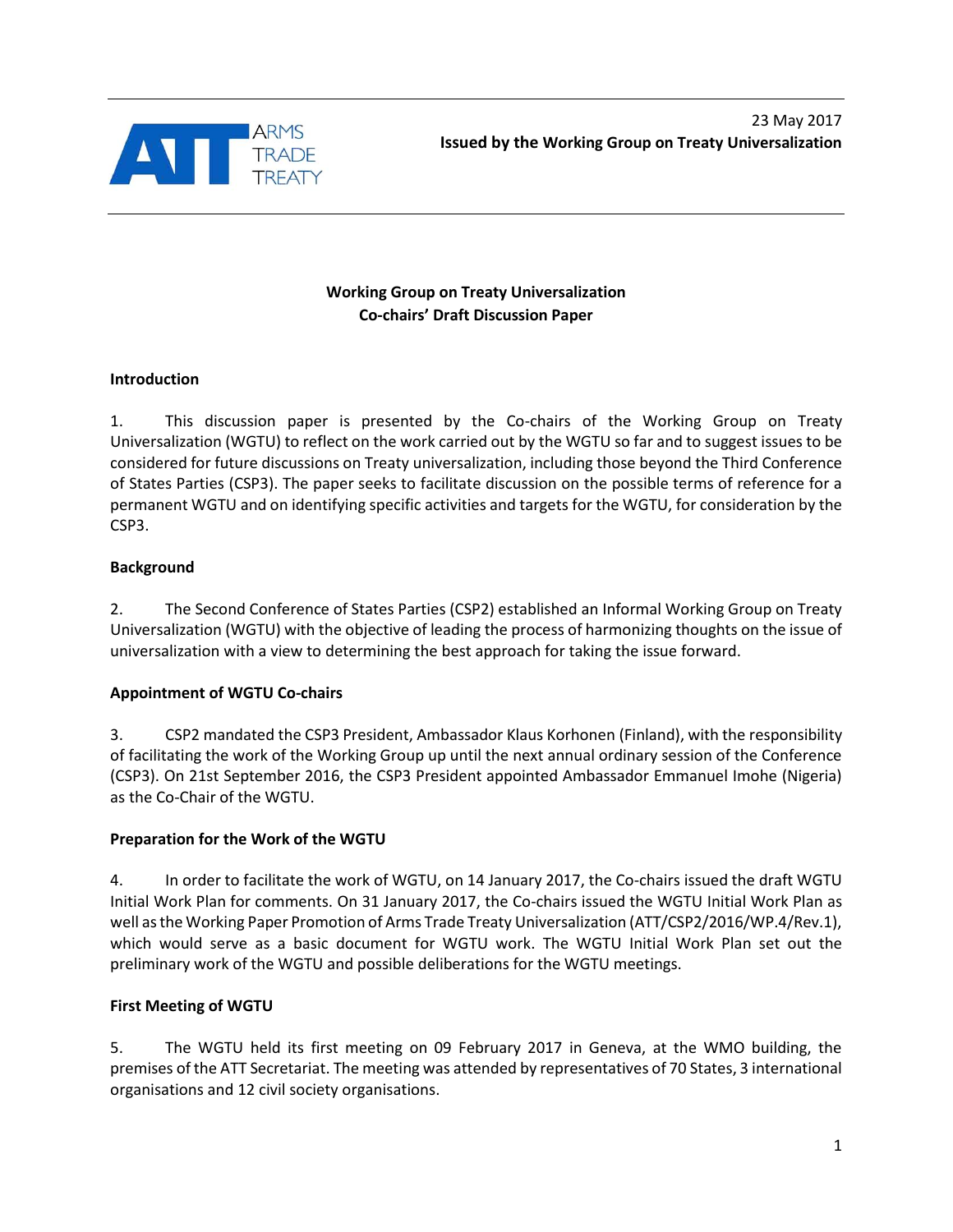

# **Working Group on Treaty Universalization Co-chairs' Draft Discussion Paper**

## **Introduction**

1. This discussion paper is presented by the Co-chairs of the Working Group on Treaty Universalization (WGTU) to reflect on the work carried out by the WGTU so far and to suggest issues to be considered for future discussions on Treaty universalization, including those beyond the Third Conference of States Parties (CSP3). The paper seeks to facilitate discussion on the possible terms of reference for a permanent WGTU and on identifying specific activities and targets for the WGTU, for consideration by the CSP3.

## **Background**

2. The Second Conference of States Parties (CSP2) established an Informal Working Group on Treaty Universalization (WGTU) with the objective of leading the process of harmonizing thoughts on the issue of universalization with a view to determining the best approach for taking the issue forward.

# **Appointment of WGTU Co-chairs**

3. CSP2 mandated the CSP3 President, Ambassador Klaus Korhonen (Finland), with the responsibility of facilitating the work of the Working Group up until the next annual ordinary session of the Conference (CSP3). On 21st September 2016, the CSP3 President appointed Ambassador Emmanuel Imohe (Nigeria) as the Co-Chair of the WGTU.

# **Preparation for the Work of the WGTU**

4. In order to facilitate the work of WGTU, on 14 January 2017, the Co-chairs issued the draft WGTU Initial Work Plan for comments. On 31 January 2017, the Co-chairs issued the WGTU Initial Work Plan as well as the Working Paper Promotion of Arms Trade Treaty Universalization (ATT/CSP2/2016/WP.4/Rev.1), which would serve as a basic document for WGTU work. The WGTU Initial Work Plan set out the preliminary work of the WGTU and possible deliberations for the WGTU meetings.

# **First Meeting of WGTU**

5. The WGTU held its first meeting on 09 February 2017 in Geneva, at the WMO building, the premises of the ATT Secretariat. The meeting was attended by representatives of 70 States, 3 international organisations and 12 civil society organisations.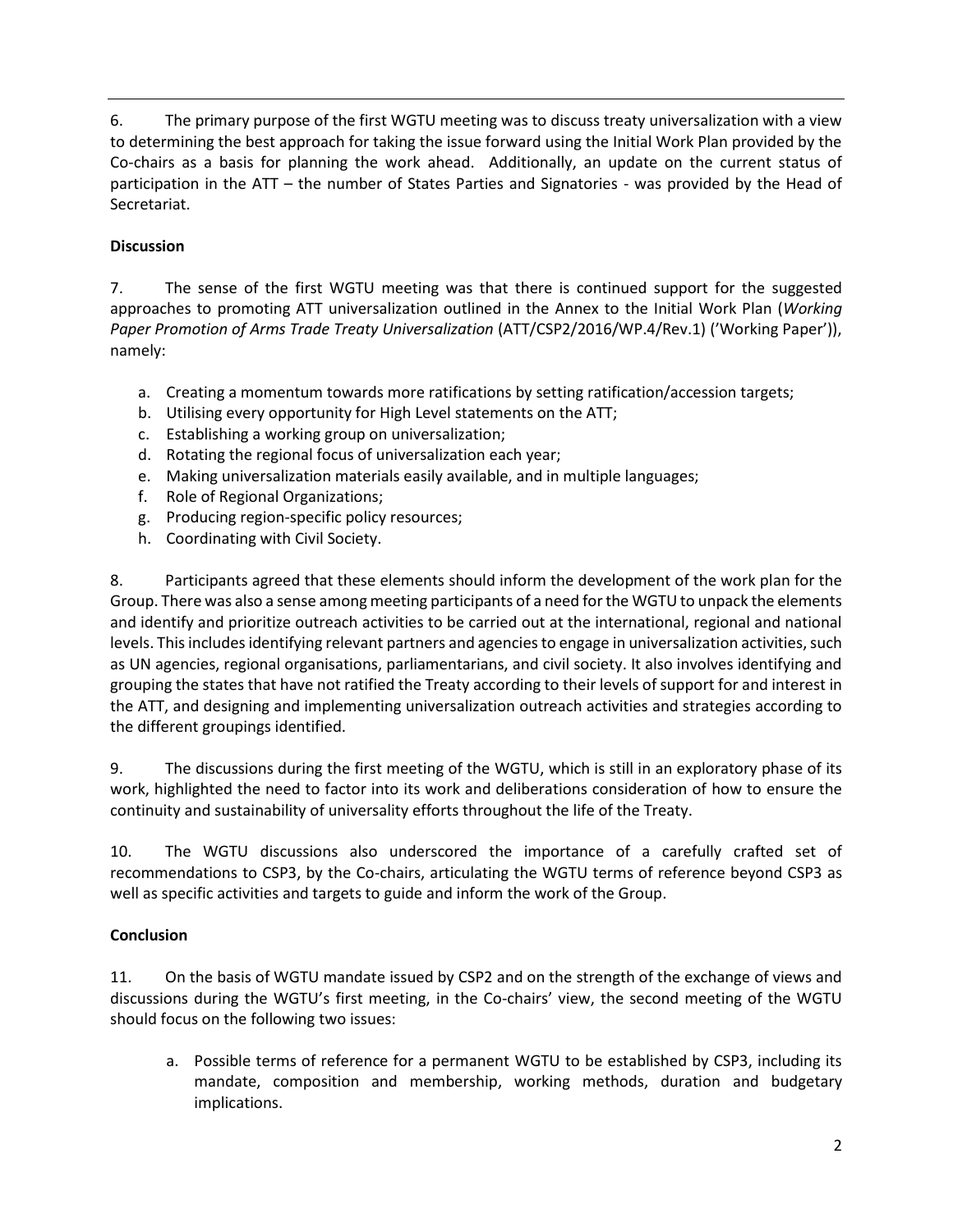6. The primary purpose of the first WGTU meeting was to discuss treaty universalization with a view to determining the best approach for taking the issue forward using the Initial Work Plan provided by the Co-chairs as a basis for planning the work ahead. Additionally, an update on the current status of participation in the ATT – the number of States Parties and Signatories - was provided by the Head of Secretariat.

# **Discussion**

7. The sense of the first WGTU meeting was that there is continued support for the suggested approaches to promoting ATT universalization outlined in the Annex to the Initial Work Plan (*Working Paper Promotion of Arms Trade Treaty Universalization* (ATT/CSP2/2016/WP.4/Rev.1) ('Working Paper')), namely:

- a. Creating a momentum towards more ratifications by setting ratification/accession targets;
- b. Utilising every opportunity for High Level statements on the ATT;
- c. Establishing a working group on universalization;
- d. Rotating the regional focus of universalization each year;
- e. Making universalization materials easily available, and in multiple languages;
- f. Role of Regional Organizations;
- g. Producing region-specific policy resources;
- h. Coordinating with Civil Society.

8. Participants agreed that these elements should inform the development of the work plan for the Group. There was also a sense among meeting participants of a need for the WGTU to unpack the elements and identify and prioritize outreach activities to be carried out at the international, regional and national levels. This includes identifying relevant partners and agencies to engage in universalization activities, such as UN agencies, regional organisations, parliamentarians, and civil society. It also involves identifying and grouping the states that have not ratified the Treaty according to their levels of support for and interest in the ATT, and designing and implementing universalization outreach activities and strategies according to the different groupings identified.

9. The discussions during the first meeting of the WGTU, which is still in an exploratory phase of its work, highlighted the need to factor into its work and deliberations consideration of how to ensure the continuity and sustainability of universality efforts throughout the life of the Treaty.

10. The WGTU discussions also underscored the importance of a carefully crafted set of recommendations to CSP3, by the Co-chairs, articulating the WGTU terms of reference beyond CSP3 as well as specific activities and targets to guide and inform the work of the Group.

# **Conclusion**

11. On the basis of WGTU mandate issued by CSP2 and on the strength of the exchange of views and discussions during the WGTU's first meeting, in the Co-chairs' view, the second meeting of the WGTU should focus on the following two issues:

a. Possible terms of reference for a permanent WGTU to be established by CSP3, including its mandate, composition and membership, working methods, duration and budgetary implications.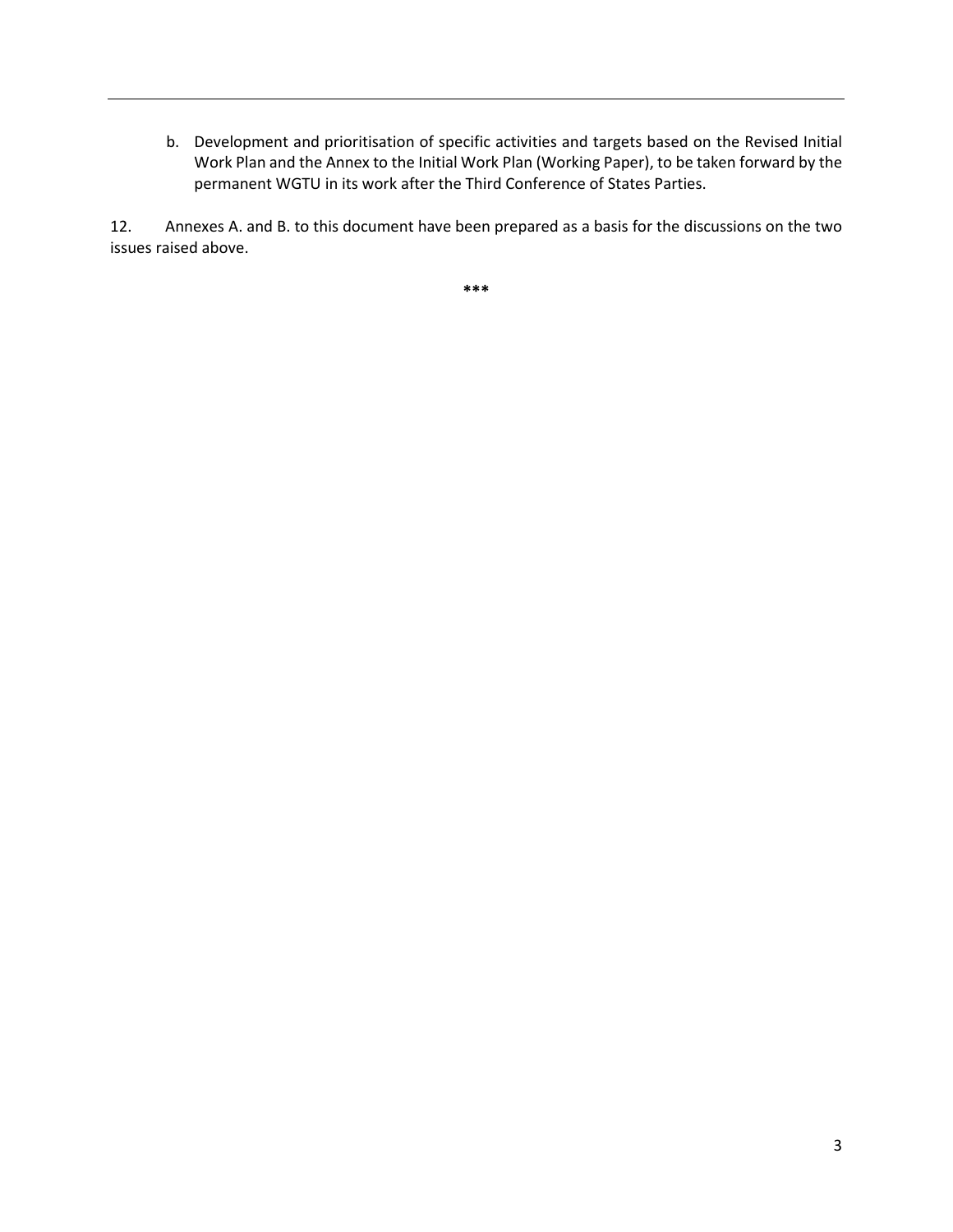b. Development and prioritisation of specific activities and targets based on the Revised Initial Work Plan and the Annex to the Initial Work Plan (Working Paper), to be taken forward by the permanent WGTU in its work after the Third Conference of States Parties.

12. Annexes A. and B. to this document have been prepared as a basis for the discussions on the two issues raised above.

**\*\*\***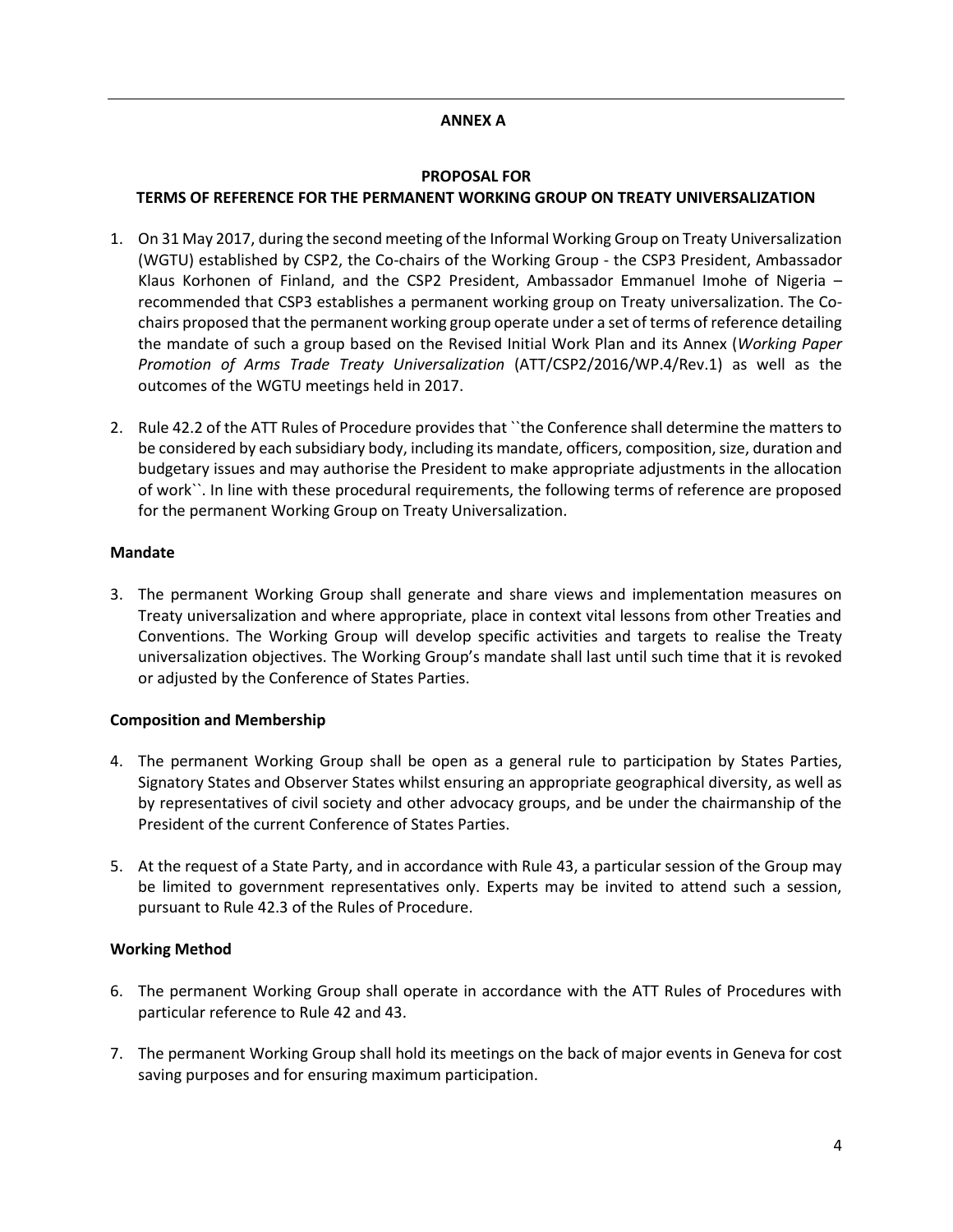## **ANNEX A**

#### **PROPOSAL FOR**

## **TERMS OF REFERENCE FOR THE PERMANENT WORKING GROUP ON TREATY UNIVERSALIZATION**

- 1. On 31 May 2017, during the second meeting of the Informal Working Group on Treaty Universalization (WGTU) established by CSP2, the Co-chairs of the Working Group - the CSP3 President, Ambassador Klaus Korhonen of Finland, and the CSP2 President, Ambassador Emmanuel Imohe of Nigeria – recommended that CSP3 establishes a permanent working group on Treaty universalization. The Cochairs proposed that the permanent working group operate under a set of terms of reference detailing the mandate of such a group based on the Revised Initial Work Plan and its Annex (*Working Paper Promotion of Arms Trade Treaty Universalization* (ATT/CSP2/2016/WP.4/Rev.1) as well as the outcomes of the WGTU meetings held in 2017.
- 2. Rule 42.2 of the ATT Rules of Procedure provides that ``the Conference shall determine the matters to be considered by each subsidiary body, including its mandate, officers, composition, size, duration and budgetary issues and may authorise the President to make appropriate adjustments in the allocation of work``. In line with these procedural requirements, the following terms of reference are proposed for the permanent Working Group on Treaty Universalization.

## **Mandate**

3. The permanent Working Group shall generate and share views and implementation measures on Treaty universalization and where appropriate, place in context vital lessons from other Treaties and Conventions. The Working Group will develop specific activities and targets to realise the Treaty universalization objectives. The Working Group's mandate shall last until such time that it is revoked or adjusted by the Conference of States Parties.

## **Composition and Membership**

- 4. The permanent Working Group shall be open as a general rule to participation by States Parties, Signatory States and Observer States whilst ensuring an appropriate geographical diversity, as well as by representatives of civil society and other advocacy groups, and be under the chairmanship of the President of the current Conference of States Parties.
- 5. At the request of a State Party, and in accordance with Rule 43, a particular session of the Group may be limited to government representatives only. Experts may be invited to attend such a session, pursuant to Rule 42.3 of the Rules of Procedure.

## **Working Method**

- 6. The permanent Working Group shall operate in accordance with the ATT Rules of Procedures with particular reference to Rule 42 and 43.
- 7. The permanent Working Group shall hold its meetings on the back of major events in Geneva for cost saving purposes and for ensuring maximum participation.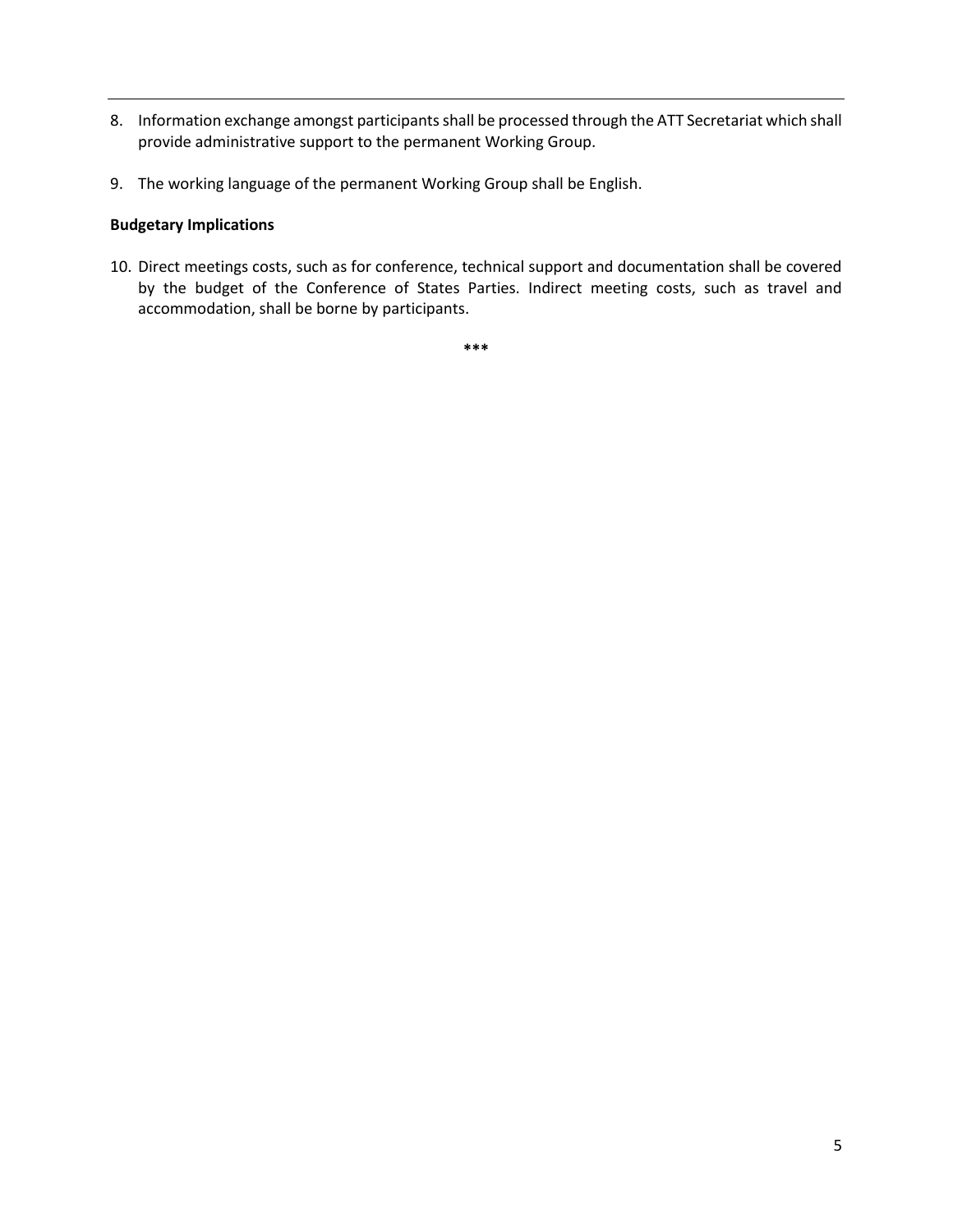- 8. Information exchange amongst participants shall be processed through the ATT Secretariat which shall provide administrative support to the permanent Working Group.
- 9. The working language of the permanent Working Group shall be English.

## **Budgetary Implications**

10. Direct meetings costs, such as for conference, technical support and documentation shall be covered by the budget of the Conference of States Parties. Indirect meeting costs, such as travel and accommodation, shall be borne by participants.

**\*\*\***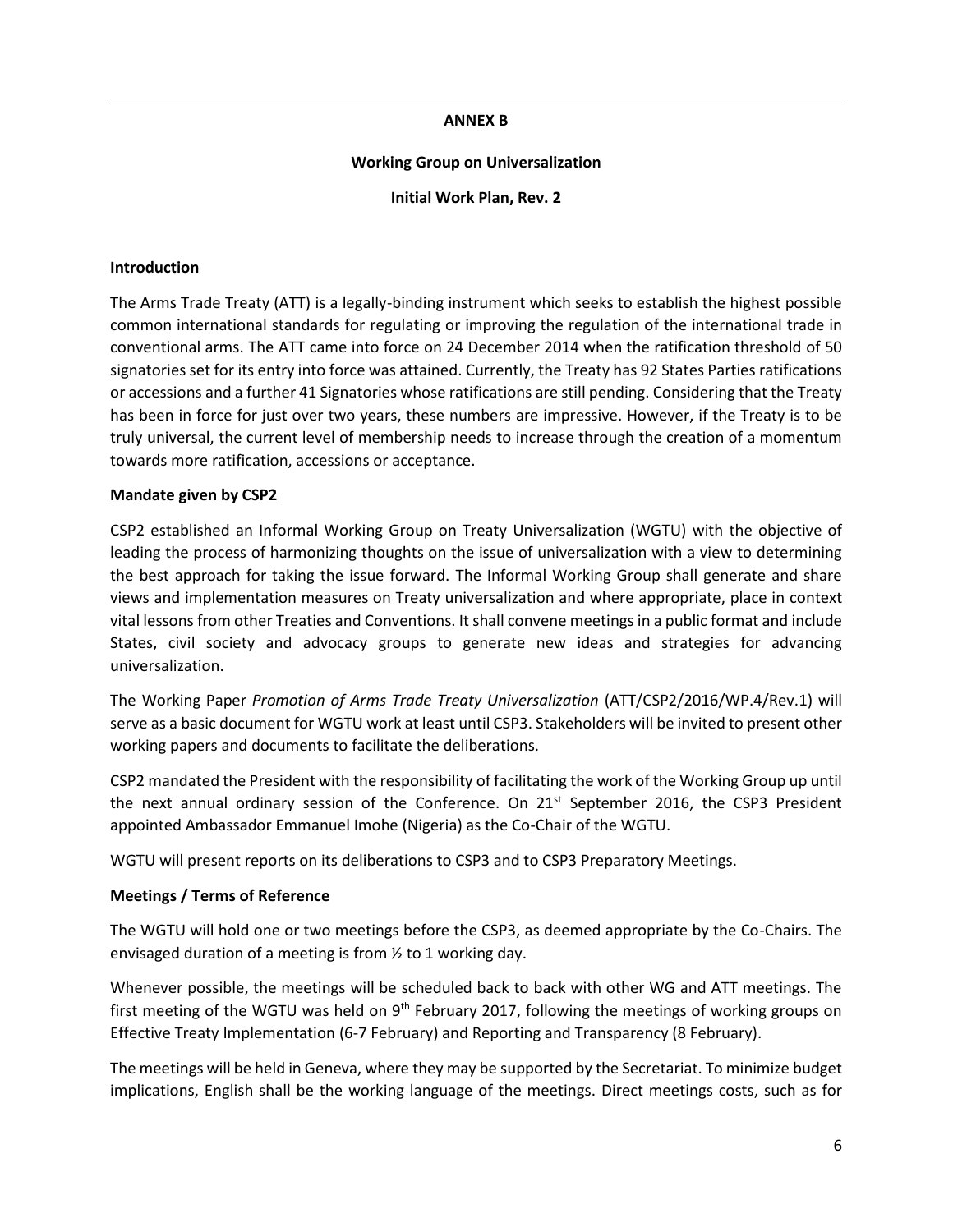#### **ANNEX B**

#### **Working Group on Universalization**

**Initial Work Plan, Rev. 2**

#### **Introduction**

The Arms Trade Treaty (ATT) is a legally-binding instrument which seeks to establish the highest possible common international standards for regulating or improving the regulation of the international trade in conventional arms. The ATT came into force on 24 December 2014 when the ratification threshold of 50 signatories set for its entry into force was attained. Currently, the Treaty has 92 States Parties ratifications or accessions and a further 41 Signatories whose ratifications are still pending. Considering that the Treaty has been in force for just over two years, these numbers are impressive. However, if the Treaty is to be truly universal, the current level of membership needs to increase through the creation of a momentum towards more ratification, accessions or acceptance.

#### **Mandate given by CSP2**

CSP2 established an Informal Working Group on Treaty Universalization (WGTU) with the objective of leading the process of harmonizing thoughts on the issue of universalization with a view to determining the best approach for taking the issue forward. The Informal Working Group shall generate and share views and implementation measures on Treaty universalization and where appropriate, place in context vital lessons from other Treaties and Conventions. It shall convene meetings in a public format and include States, civil society and advocacy groups to generate new ideas and strategies for advancing universalization.

The Working Paper *Promotion of Arms Trade Treaty Universalization* (ATT/CSP2/2016/WP.4/Rev.1) will serve as a basic document for WGTU work at least until CSP3. Stakeholders will be invited to present other working papers and documents to facilitate the deliberations.

CSP2 mandated the President with the responsibility of facilitating the work of the Working Group up until the next annual ordinary session of the Conference. On 21<sup>st</sup> September 2016, the CSP3 President appointed Ambassador Emmanuel Imohe (Nigeria) as the Co-Chair of the WGTU.

WGTU will present reports on its deliberations to CSP3 and to CSP3 Preparatory Meetings.

## **Meetings / Terms of Reference**

The WGTU will hold one or two meetings before the CSP3, as deemed appropriate by the Co-Chairs. The envisaged duration of a meeting is from ½ to 1 working day.

Whenever possible, the meetings will be scheduled back to back with other WG and ATT meetings. The first meeting of the WGTU was held on  $9<sup>th</sup>$  February 2017, following the meetings of working groups on Effective Treaty Implementation (6-7 February) and Reporting and Transparency (8 February).

The meetings will be held in Geneva, where they may be supported by the Secretariat. To minimize budget implications, English shall be the working language of the meetings. Direct meetings costs, such as for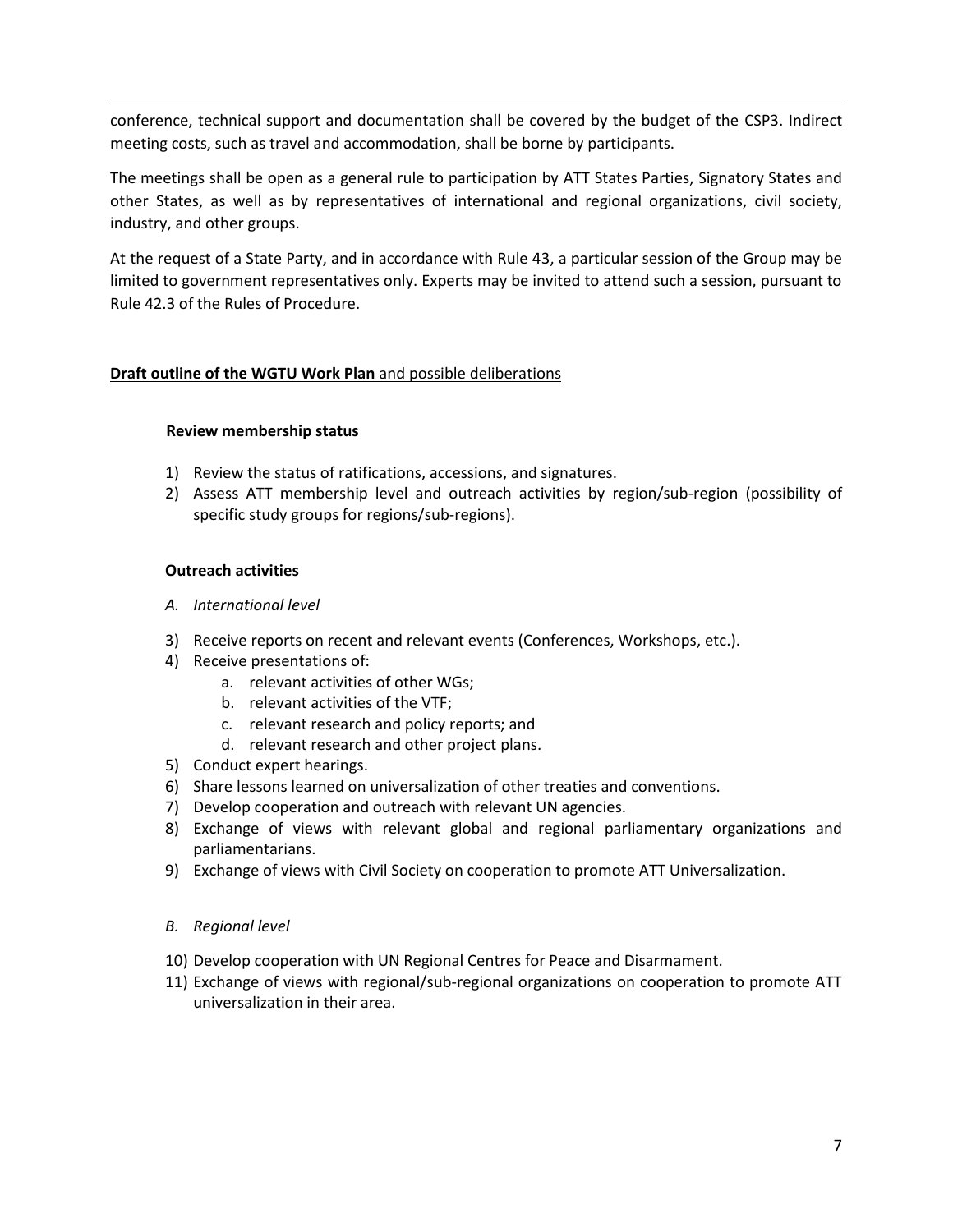conference, technical support and documentation shall be covered by the budget of the CSP3. Indirect meeting costs, such as travel and accommodation, shall be borne by participants.

The meetings shall be open as a general rule to participation by ATT States Parties, Signatory States and other States, as well as by representatives of international and regional organizations, civil society, industry, and other groups.

At the request of a State Party, and in accordance with Rule 43, a particular session of the Group may be limited to government representatives only. Experts may be invited to attend such a session, pursuant to Rule 42.3 of the Rules of Procedure.

## **Draft outline of the WGTU Work Plan** and possible deliberations

## **Review membership status**

- 1) Review the status of ratifications, accessions, and signatures.
- 2) Assess ATT membership level and outreach activities by region/sub-region (possibility of specific study groups for regions/sub-regions).

## **Outreach activities**

- *A. International level*
- 3) Receive reports on recent and relevant events (Conferences, Workshops, etc.).
- 4) Receive presentations of:
	- a. relevant activities of other WGs;
	- b. relevant activities of the VTF;
	- c. relevant research and policy reports; and
	- d. relevant research and other project plans.
- 5) Conduct expert hearings.
- 6) Share lessons learned on universalization of other treaties and conventions.
- 7) Develop cooperation and outreach with relevant UN agencies.
- 8) Exchange of views with relevant global and regional parliamentary organizations and parliamentarians.
- 9) Exchange of views with Civil Society on cooperation to promote ATT Universalization.
- *B. Regional level*
- 10) Develop cooperation with UN Regional Centres for Peace and Disarmament.
- 11) Exchange of views with regional/sub-regional organizations on cooperation to promote ATT universalization in their area.